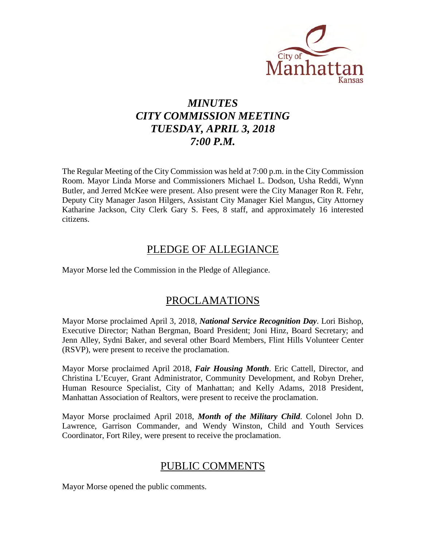

# *MINUTES CITY COMMISSION MEETING TUESDAY, APRIL 3, 2018 7:00 P.M.*

The Regular Meeting of the City Commission was held at 7:00 p.m. in the City Commission Room. Mayor Linda Morse and Commissioners Michael L. Dodson, Usha Reddi, Wynn Butler, and Jerred McKee were present. Also present were the City Manager Ron R. Fehr, Deputy City Manager Jason Hilgers, Assistant City Manager Kiel Mangus, City Attorney Katharine Jackson, City Clerk Gary S. Fees, 8 staff, and approximately 16 interested citizens.

# PLEDGE OF ALLEGIANCE

Mayor Morse led the Commission in the Pledge of Allegiance.

# PROCLAMATIONS

Mayor Morse proclaimed April 3, 2018, *National Service Recognition Day*. Lori Bishop, Executive Director; Nathan Bergman, Board President; Joni Hinz, Board Secretary; and Jenn Alley, Sydni Baker, and several other Board Members, Flint Hills Volunteer Center (RSVP), were present to receive the proclamation.

Mayor Morse proclaimed April 2018, *Fair Housing Month*. Eric Cattell, Director, and Christina L'Ecuyer, Grant Administrator, Community Development, and Robyn Dreher, Human Resource Specialist, City of Manhattan; and Kelly Adams, 2018 President, Manhattan Association of Realtors, were present to receive the proclamation.

Mayor Morse proclaimed April 2018, *Month of the Military Child*. Colonel John D. Lawrence, Garrison Commander, and Wendy Winston, Child and Youth Services Coordinator, Fort Riley, were present to receive the proclamation.

# PUBLIC COMMENTS

Mayor Morse opened the public comments.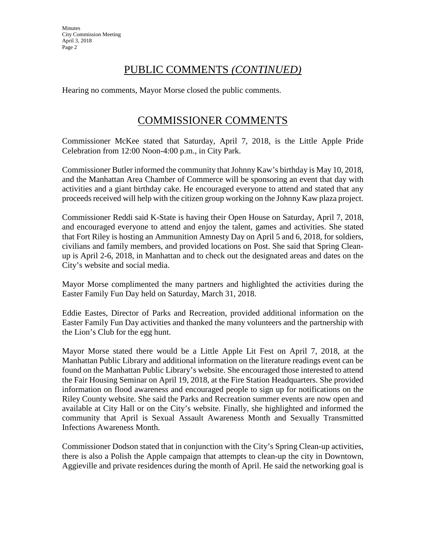**Minutes** City Commission Meeting April 3, 2018 Page 2

# PUBLIC COMMENTS *(CONTINUED)*

Hearing no comments, Mayor Morse closed the public comments.

# COMMISSIONER COMMENTS

Commissioner McKee stated that Saturday, April 7, 2018, is the Little Apple Pride Celebration from 12:00 Noon-4:00 p.m., in City Park.

Commissioner Butler informed the community that Johnny Kaw's birthday is May 10, 2018, and the Manhattan Area Chamber of Commerce will be sponsoring an event that day with activities and a giant birthday cake. He encouraged everyone to attend and stated that any proceeds received will help with the citizen group working on the Johnny Kaw plaza project.

Commissioner Reddi said K-State is having their Open House on Saturday, April 7, 2018, and encouraged everyone to attend and enjoy the talent, games and activities. She stated that Fort Riley is hosting an Ammunition Amnesty Day on April 5 and 6, 2018, for soldiers, civilians and family members, and provided locations on Post. She said that Spring Cleanup is April 2-6, 2018, in Manhattan and to check out the designated areas and dates on the City's website and social media.

Mayor Morse complimented the many partners and highlighted the activities during the Easter Family Fun Day held on Saturday, March 31, 2018.

Eddie Eastes, Director of Parks and Recreation, provided additional information on the Easter Family Fun Day activities and thanked the many volunteers and the partnership with the Lion's Club for the egg hunt.

Mayor Morse stated there would be a Little Apple Lit Fest on April 7, 2018, at the Manhattan Public Library and additional information on the literature readings event can be found on the Manhattan Public Library's website. She encouraged those interested to attend the Fair Housing Seminar on April 19, 2018, at the Fire Station Headquarters. She provided information on flood awareness and encouraged people to sign up for notifications on the Riley County website. She said the Parks and Recreation summer events are now open and available at City Hall or on the City's website. Finally, she highlighted and informed the community that April is Sexual Assault Awareness Month and Sexually Transmitted Infections Awareness Month.

Commissioner Dodson stated that in conjunction with the City's Spring Clean-up activities, there is also a Polish the Apple campaign that attempts to clean-up the city in Downtown, Aggieville and private residences during the month of April. He said the networking goal is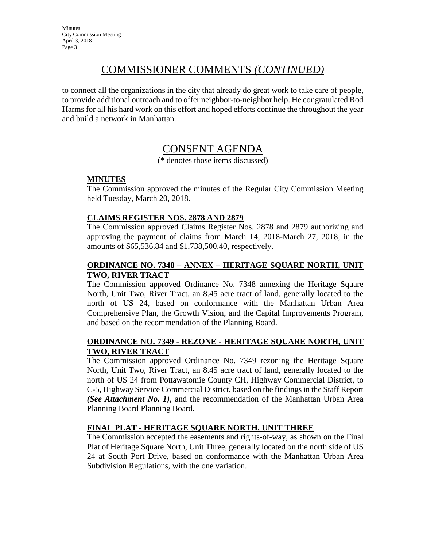# COMMISSIONER COMMENTS *(CONTINUED)*

to connect all the organizations in the city that already do great work to take care of people, to provide additional outreach and to offer neighbor-to-neighbor help. He congratulated Rod Harms for all his hard work on this effort and hoped efforts continue the throughout the year and build a network in Manhattan.

# CONSENT AGENDA

(\* denotes those items discussed)

#### **MINUTES**

The Commission approved the minutes of the Regular City Commission Meeting held Tuesday, March 20, 2018.

#### **CLAIMS REGISTER NOS. 2878 AND 2879**

The Commission approved Claims Register Nos. 2878 and 2879 authorizing and approving the payment of claims from March 14, 2018-March 27, 2018, in the amounts of \$65,536.84 and \$1,738,500.40, respectively.

#### **ORDINANCE NO. 7348 – ANNEX – HERITAGE SQUARE NORTH, UNIT TWO, RIVER TRACT**

The Commission approved Ordinance No. 7348 annexing the Heritage Square North, Unit Two, River Tract, an 8.45 acre tract of land, generally located to the north of US 24, based on conformance with the Manhattan Urban Area Comprehensive Plan, the Growth Vision, and the Capital Improvements Program, and based on the recommendation of the Planning Board.

#### **ORDINANCE NO. 7349 - REZONE - HERITAGE SQUARE NORTH, UNIT TWO, RIVER TRACT**

The Commission approved Ordinance No. 7349 rezoning the Heritage Square North, Unit Two, River Tract, an 8.45 acre tract of land, generally located to the north of US 24 from Pottawatomie County CH, Highway Commercial District, to C-5, Highway Service Commercial District, based on the findings in the Staff Report *(See Attachment No. 1)*, and the recommendation of the Manhattan Urban Area Planning Board Planning Board.

#### **FINAL PLAT - HERITAGE SQUARE NORTH, UNIT THREE**

The Commission accepted the easements and rights-of-way, as shown on the Final Plat of Heritage Square North, Unit Three, generally located on the north side of US 24 at South Port Drive, based on conformance with the Manhattan Urban Area Subdivision Regulations, with the one variation.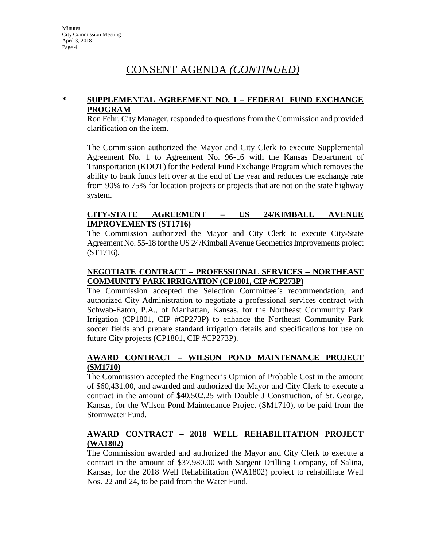# CONSENT AGENDA *(CONTINUED)*

#### **\* SUPPLEMENTAL AGREEMENT NO. 1 – FEDERAL FUND EXCHANGE PROGRAM**

Ron Fehr, City Manager, responded to questions from the Commission and provided clarification on the item.

The Commission authorized the Mayor and City Clerk to execute Supplemental Agreement No. 1 to Agreement No. 96-16 with the Kansas Department of Transportation (KDOT) for the Federal Fund Exchange Program which removes the ability to bank funds left over at the end of the year and reduces the exchange rate from 90% to 75% for location projects or projects that are not on the state highway system.

#### **CITY-STATE AGREEMENT – US 24/KIMBALL AVENUE IMPROVEMENTS (ST1716)**

The Commission authorized the Mayor and City Clerk to execute City-State Agreement No. 55-18 for the US 24/Kimball Avenue Geometrics Improvements project (ST1716).

#### **NEGOTIATE CONTRACT – PROFESSIONAL SERVICES – NORTHEAST COMMUNITY PARK IRRIGATION (CP1801, CIP #CP273P)**

The Commission accepted the Selection Committee's recommendation, and authorized City Administration to negotiate a professional services contract with Schwab-Eaton, P.A., of Manhattan, Kansas, for the Northeast Community Park Irrigation (CP1801, CIP #CP273P) to enhance the Northeast Community Park soccer fields and prepare standard irrigation details and specifications for use on future City projects (CP1801, CIP #CP273P).

#### **AWARD CONTRACT – WILSON POND MAINTENANCE PROJECT (SM1710)**

The Commission accepted the Engineer's Opinion of Probable Cost in the amount of \$60,431.00, and awarded and authorized the Mayor and City Clerk to execute a contract in the amount of \$40,502.25 with Double J Construction, of St. George, Kansas, for the Wilson Pond Maintenance Project (SM1710), to be paid from the Stormwater Fund.

#### **AWARD CONTRACT – 2018 WELL REHABILITATION PROJECT (WA1802)**

The Commission awarded and authorized the Mayor and City Clerk to execute a contract in the amount of \$37,980.00 with Sargent Drilling Company, of Salina, Kansas, for the 2018 Well Rehabilitation (WA1802) project to rehabilitate Well Nos. 22 and 24, to be paid from the Water Fund.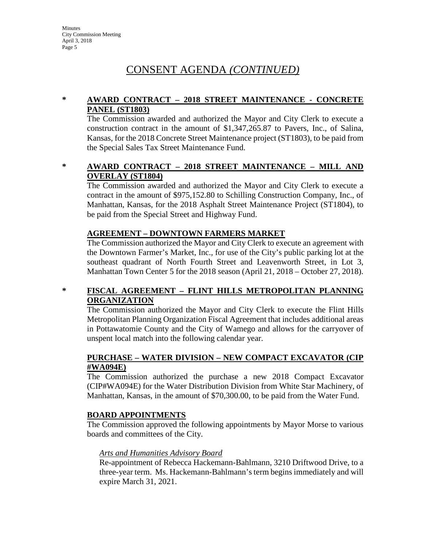# CONSENT AGENDA *(CONTINUED)*

#### **\* AWARD CONTRACT – 2018 STREET MAINTENANCE - CONCRETE PANEL (ST1803)**

The Commission awarded and authorized the Mayor and City Clerk to execute a construction contract in the amount of \$1,347,265.87 to Pavers, Inc., of Salina, Kansas, for the 2018 Concrete Street Maintenance project (ST1803), to be paid from the Special Sales Tax Street Maintenance Fund.

#### **\* AWARD CONTRACT – 2018 STREET MAINTENANCE – MILL AND OVERLAY (ST1804)**

The Commission awarded and authorized the Mayor and City Clerk to execute a contract in the amount of \$975,152.80 to Schilling Construction Company, Inc., of Manhattan, Kansas, for the 2018 Asphalt Street Maintenance Project (ST1804), to be paid from the Special Street and Highway Fund.

#### **AGREEMENT – DOWNTOWN FARMERS MARKET**

The Commission authorized the Mayor and City Clerk to execute an agreement with the Downtown Farmer's Market, Inc., for use of the City's public parking lot at the southeast quadrant of North Fourth Street and Leavenworth Street, in Lot 3, Manhattan Town Center 5 for the 2018 season (April 21, 2018 – October 27, 2018).

#### **\* FISCAL AGREEMENT – FLINT HILLS METROPOLITAN PLANNING ORGANIZATION**

The Commission authorized the Mayor and City Clerk to execute the Flint Hills Metropolitan Planning Organization Fiscal Agreement that includes additional areas in Pottawatomie County and the City of Wamego and allows for the carryover of unspent local match into the following calendar year.

#### **PURCHASE – WATER DIVISION – NEW COMPACT EXCAVATOR (CIP #WA094E)**

The Commission authorized the purchase a new 2018 Compact Excavator (CIP#WA094E) for the Water Distribution Division from White Star Machinery, of Manhattan, Kansas, in the amount of \$70,300.00, to be paid from the Water Fund.

#### **BOARD APPOINTMENTS**

The Commission approved the following appointments by Mayor Morse to various boards and committees of the City.

#### *Arts and Humanities Advisory Board*

Re-appointment of Rebecca Hackemann-Bahlmann, 3210 Driftwood Drive, to a three-year term. Ms. Hackemann-Bahlmann's term begins immediately and will expire March 31, 2021.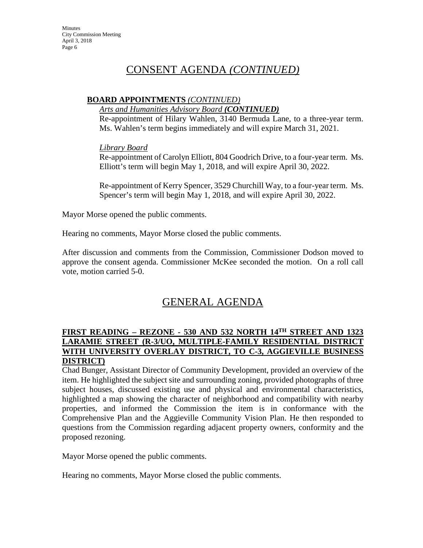# CONSENT AGENDA *(CONTINUED)*

#### **BOARD APPOINTMENTS** *(CONTINUED)*

*Arts and Humanities Advisory Board (CONTINUED)*

Re-appointment of Hilary Wahlen, 3140 Bermuda Lane, to a three-year term. Ms. Wahlen's term begins immediately and will expire March 31, 2021.

*Library Board* 

Re-appointment of Carolyn Elliott, 804 Goodrich Drive, to a four-year term. Ms. Elliott's term will begin May 1, 2018, and will expire April 30, 2022.

Re-appointment of Kerry Spencer, 3529 Churchill Way, to a four-year term. Ms. Spencer's term will begin May 1, 2018, and will expire April 30, 2022.

Mayor Morse opened the public comments.

Hearing no comments, Mayor Morse closed the public comments.

After discussion and comments from the Commission, Commissioner Dodson moved to approve the consent agenda. Commissioner McKee seconded the motion. On a roll call vote, motion carried 5-0.

# GENERAL AGENDA

#### **FIRST READING – REZONE - 530 AND 532 NORTH 14TH STREET AND 1323 LARAMIE STREET (R-3/UO, MULTIPLE-FAMILY RESIDENTIAL DISTRICT WITH UNIVERSITY OVERLAY DISTRICT, TO C-3, AGGIEVILLE BUSINESS DISTRICT)**

Chad Bunger, Assistant Director of Community Development, provided an overview of the item. He highlighted the subject site and surrounding zoning, provided photographs of three subject houses, discussed existing use and physical and environmental characteristics, highlighted a map showing the character of neighborhood and compatibility with nearby properties, and informed the Commission the item is in conformance with the Comprehensive Plan and the Aggieville Community Vision Plan. He then responded to questions from the Commission regarding adjacent property owners, conformity and the proposed rezoning.

Mayor Morse opened the public comments.

Hearing no comments, Mayor Morse closed the public comments.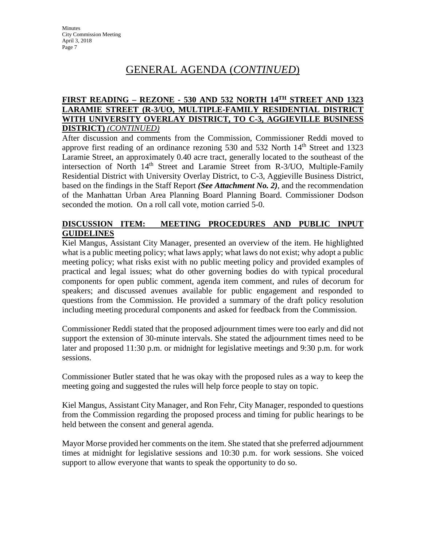#### **FIRST READING – REZONE - 530 AND 532 NORTH 14TH STREET AND 1323 LARAMIE STREET (R-3/UO, MULTIPLE-FAMILY RESIDENTIAL DISTRICT WITH UNIVERSITY OVERLAY DISTRICT, TO C-3, AGGIEVILLE BUSINESS DISTRICT)** *(CONTINUED)*

After discussion and comments from the Commission, Commissioner Reddi moved to approve first reading of an ordinance rezoning 530 and 532 North 14<sup>th</sup> Street and 1323 Laramie Street, an approximately 0.40 acre tract, generally located to the southeast of the intersection of North 14<sup>th</sup> Street and Laramie Street from R-3/UO, Multiple-Family Residential District with University Overlay District, to C-3, Aggieville Business District, based on the findings in the Staff Report *(See Attachment No. 2)*, and the recommendation of the Manhattan Urban Area Planning Board Planning Board. Commissioner Dodson seconded the motion. On a roll call vote, motion carried 5-0.

#### **DISCUSSION ITEM: MEETING PROCEDURES AND PUBLIC INPUT GUIDELINES**

Kiel Mangus, Assistant City Manager, presented an overview of the item. He highlighted what is a public meeting policy; what laws apply; what laws do not exist; why adopt a public meeting policy; what risks exist with no public meeting policy and provided examples of practical and legal issues; what do other governing bodies do with typical procedural components for open public comment, agenda item comment, and rules of decorum for speakers; and discussed avenues available for public engagement and responded to questions from the Commission. He provided a summary of the draft policy resolution including meeting procedural components and asked for feedback from the Commission.

Commissioner Reddi stated that the proposed adjournment times were too early and did not support the extension of 30-minute intervals. She stated the adjournment times need to be later and proposed 11:30 p.m. or midnight for legislative meetings and 9:30 p.m. for work sessions.

Commissioner Butler stated that he was okay with the proposed rules as a way to keep the meeting going and suggested the rules will help force people to stay on topic.

Kiel Mangus, Assistant City Manager, and Ron Fehr, City Manager, responded to questions from the Commission regarding the proposed process and timing for public hearings to be held between the consent and general agenda.

Mayor Morse provided her comments on the item. She stated that she preferred adjournment times at midnight for legislative sessions and 10:30 p.m. for work sessions. She voiced support to allow everyone that wants to speak the opportunity to do so.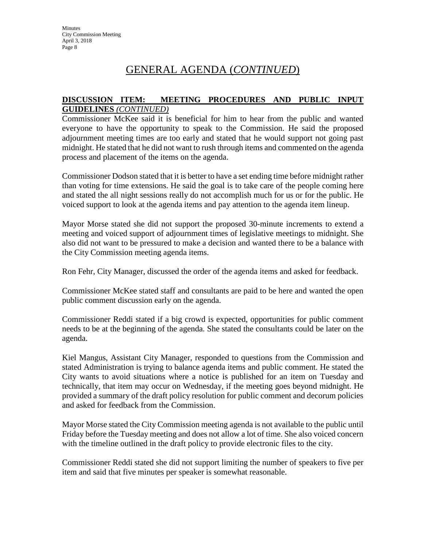#### **DISCUSSION ITEM: MEETING PROCEDURES AND PUBLIC INPUT GUIDELINES** *(CONTINUED)*

Commissioner McKee said it is beneficial for him to hear from the public and wanted everyone to have the opportunity to speak to the Commission. He said the proposed adjournment meeting times are too early and stated that he would support not going past midnight. He stated that he did not want to rush through items and commented on the agenda process and placement of the items on the agenda.

Commissioner Dodson stated that it is better to have a set ending time before midnight rather than voting for time extensions. He said the goal is to take care of the people coming here and stated the all night sessions really do not accomplish much for us or for the public. He voiced support to look at the agenda items and pay attention to the agenda item lineup.

Mayor Morse stated she did not support the proposed 30-minute increments to extend a meeting and voiced support of adjournment times of legislative meetings to midnight. She also did not want to be pressured to make a decision and wanted there to be a balance with the City Commission meeting agenda items.

Ron Fehr, City Manager, discussed the order of the agenda items and asked for feedback.

Commissioner McKee stated staff and consultants are paid to be here and wanted the open public comment discussion early on the agenda.

Commissioner Reddi stated if a big crowd is expected, opportunities for public comment needs to be at the beginning of the agenda. She stated the consultants could be later on the agenda.

Kiel Mangus, Assistant City Manager, responded to questions from the Commission and stated Administration is trying to balance agenda items and public comment. He stated the City wants to avoid situations where a notice is published for an item on Tuesday and technically, that item may occur on Wednesday, if the meeting goes beyond midnight. He provided a summary of the draft policy resolution for public comment and decorum policies and asked for feedback from the Commission.

Mayor Morse stated the City Commission meeting agenda is not available to the public until Friday before the Tuesday meeting and does not allow a lot of time. She also voiced concern with the timeline outlined in the draft policy to provide electronic files to the city.

Commissioner Reddi stated she did not support limiting the number of speakers to five per item and said that five minutes per speaker is somewhat reasonable.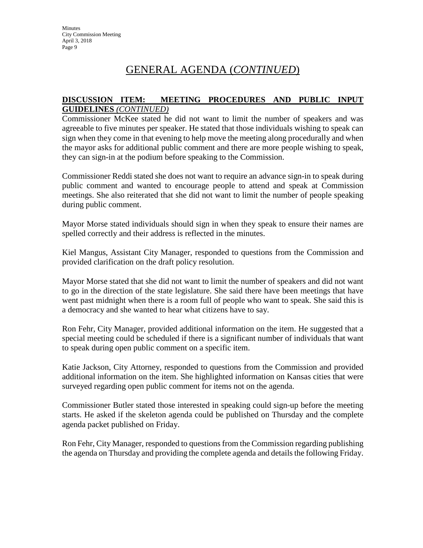#### **DISCUSSION ITEM: MEETING PROCEDURES AND PUBLIC INPUT GUIDELINES** *(CONTINUED)*

Commissioner McKee stated he did not want to limit the number of speakers and was agreeable to five minutes per speaker. He stated that those individuals wishing to speak can sign when they come in that evening to help move the meeting along procedurally and when the mayor asks for additional public comment and there are more people wishing to speak, they can sign-in at the podium before speaking to the Commission.

Commissioner Reddi stated she does not want to require an advance sign-in to speak during public comment and wanted to encourage people to attend and speak at Commission meetings. She also reiterated that she did not want to limit the number of people speaking during public comment.

Mayor Morse stated individuals should sign in when they speak to ensure their names are spelled correctly and their address is reflected in the minutes.

Kiel Mangus, Assistant City Manager, responded to questions from the Commission and provided clarification on the draft policy resolution.

Mayor Morse stated that she did not want to limit the number of speakers and did not want to go in the direction of the state legislature. She said there have been meetings that have went past midnight when there is a room full of people who want to speak. She said this is a democracy and she wanted to hear what citizens have to say.

Ron Fehr, City Manager, provided additional information on the item. He suggested that a special meeting could be scheduled if there is a significant number of individuals that want to speak during open public comment on a specific item.

Katie Jackson, City Attorney, responded to questions from the Commission and provided additional information on the item. She highlighted information on Kansas cities that were surveyed regarding open public comment for items not on the agenda.

Commissioner Butler stated those interested in speaking could sign-up before the meeting starts. He asked if the skeleton agenda could be published on Thursday and the complete agenda packet published on Friday.

Ron Fehr, City Manager, responded to questions from the Commission regarding publishing the agenda on Thursday and providing the complete agenda and details the following Friday.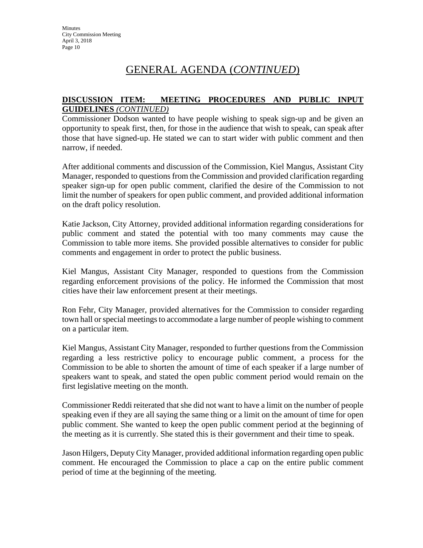#### **DISCUSSION ITEM: MEETING PROCEDURES AND PUBLIC INPUT GUIDELINES** *(CONTINUED)*

Commissioner Dodson wanted to have people wishing to speak sign-up and be given an opportunity to speak first, then, for those in the audience that wish to speak, can speak after those that have signed-up. He stated we can to start wider with public comment and then narrow, if needed.

After additional comments and discussion of the Commission, Kiel Mangus, Assistant City Manager, responded to questions from the Commission and provided clarification regarding speaker sign-up for open public comment, clarified the desire of the Commission to not limit the number of speakers for open public comment, and provided additional information on the draft policy resolution.

Katie Jackson, City Attorney, provided additional information regarding considerations for public comment and stated the potential with too many comments may cause the Commission to table more items. She provided possible alternatives to consider for public comments and engagement in order to protect the public business.

Kiel Mangus, Assistant City Manager, responded to questions from the Commission regarding enforcement provisions of the policy. He informed the Commission that most cities have their law enforcement present at their meetings.

Ron Fehr, City Manager, provided alternatives for the Commission to consider regarding town hall or special meetings to accommodate a large number of people wishing to comment on a particular item.

Kiel Mangus, Assistant City Manager, responded to further questions from the Commission regarding a less restrictive policy to encourage public comment, a process for the Commission to be able to shorten the amount of time of each speaker if a large number of speakers want to speak, and stated the open public comment period would remain on the first legislative meeting on the month.

Commissioner Reddi reiterated that she did not want to have a limit on the number of people speaking even if they are all saying the same thing or a limit on the amount of time for open public comment. She wanted to keep the open public comment period at the beginning of the meeting as it is currently. She stated this is their government and their time to speak.

Jason Hilgers, Deputy City Manager, provided additional information regarding open public comment. He encouraged the Commission to place a cap on the entire public comment period of time at the beginning of the meeting.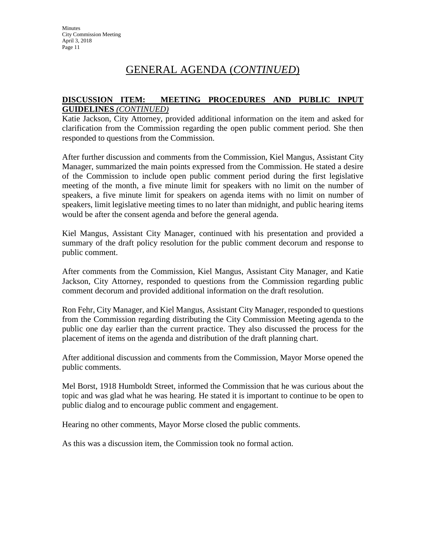#### **DISCUSSION ITEM: MEETING PROCEDURES AND PUBLIC INPUT GUIDELINES** *(CONTINUED)*

Katie Jackson, City Attorney, provided additional information on the item and asked for clarification from the Commission regarding the open public comment period. She then responded to questions from the Commission.

After further discussion and comments from the Commission, Kiel Mangus, Assistant City Manager, summarized the main points expressed from the Commission. He stated a desire of the Commission to include open public comment period during the first legislative meeting of the month, a five minute limit for speakers with no limit on the number of speakers, a five minute limit for speakers on agenda items with no limit on number of speakers, limit legislative meeting times to no later than midnight, and public hearing items would be after the consent agenda and before the general agenda.

Kiel Mangus, Assistant City Manager, continued with his presentation and provided a summary of the draft policy resolution for the public comment decorum and response to public comment.

After comments from the Commission, Kiel Mangus, Assistant City Manager, and Katie Jackson, City Attorney, responded to questions from the Commission regarding public comment decorum and provided additional information on the draft resolution.

Ron Fehr, City Manager, and Kiel Mangus, Assistant City Manager, responded to questions from the Commission regarding distributing the City Commission Meeting agenda to the public one day earlier than the current practice. They also discussed the process for the placement of items on the agenda and distribution of the draft planning chart.

After additional discussion and comments from the Commission, Mayor Morse opened the public comments.

Mel Borst, 1918 Humboldt Street, informed the Commission that he was curious about the topic and was glad what he was hearing. He stated it is important to continue to be open to public dialog and to encourage public comment and engagement.

Hearing no other comments, Mayor Morse closed the public comments.

As this was a discussion item, the Commission took no formal action.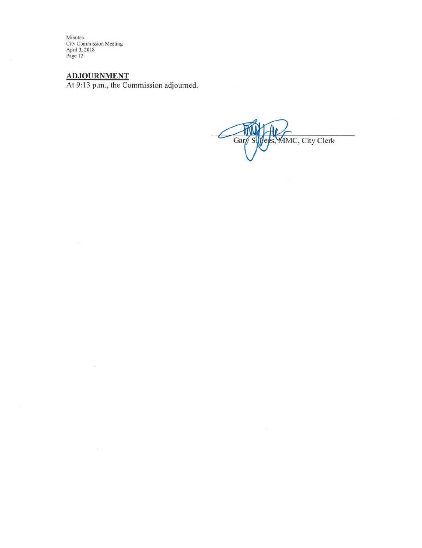Minutes<br>City Commission Meeting<br>April 3, 2018<br>Page 12

Ġ,

**ADJOURNMENT**<br>At 9:13 p.m., the Commission adjourned.

MMC, City Clerk Gary  $\mathsf{ds},$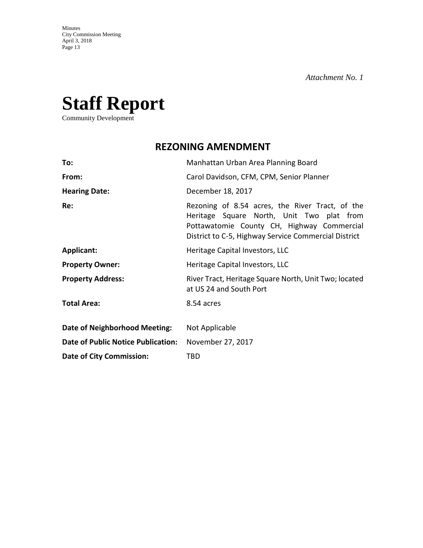# **Staff Report**

Community Development

# **REZONING AMENDMENT**

| To:                                       | Manhattan Urban Area Planning Board                                                                                                                                                                |  |  |
|-------------------------------------------|----------------------------------------------------------------------------------------------------------------------------------------------------------------------------------------------------|--|--|
| From:                                     | Carol Davidson, CFM, CPM, Senior Planner                                                                                                                                                           |  |  |
| <b>Hearing Date:</b>                      | December 18, 2017                                                                                                                                                                                  |  |  |
| Re:                                       | Rezoning of 8.54 acres, the River Tract, of the<br>Heritage Square North, Unit Two plat from<br>Pottawatomie County CH, Highway Commercial<br>District to C-5, Highway Service Commercial District |  |  |
| <b>Applicant:</b>                         | Heritage Capital Investors, LLC                                                                                                                                                                    |  |  |
| <b>Property Owner:</b>                    | Heritage Capital Investors, LLC                                                                                                                                                                    |  |  |
| <b>Property Address:</b>                  | River Tract, Heritage Square North, Unit Two; located<br>at US 24 and South Port                                                                                                                   |  |  |
| <b>Total Area:</b>                        | 8.54 acres                                                                                                                                                                                         |  |  |
| Date of Neighborhood Meeting:             | Not Applicable                                                                                                                                                                                     |  |  |
| <b>Date of Public Notice Publication:</b> | November 27, 2017                                                                                                                                                                                  |  |  |
| <b>Date of City Commission:</b>           | TBD                                                                                                                                                                                                |  |  |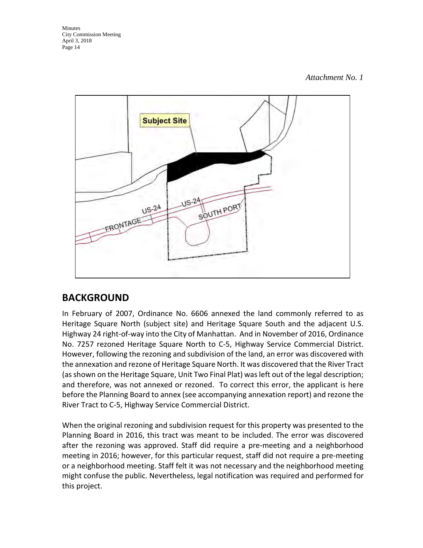Minutes City Commission Meeting April 3, 2018 Page 14

#### *Attachment No. 1*



# **BACKGROUND**

In February of 2007, Ordinance No. 6606 annexed the land commonly referred to as Heritage Square North (subject site) and Heritage Square South and the adjacent U.S. Highway 24 right-of-way into the City of Manhattan. And in November of 2016, Ordinance No. 7257 rezoned Heritage Square North to C-5, Highway Service Commercial District. However, following the rezoning and subdivision of the land, an error was discovered with the annexation and rezone of Heritage Square North. It was discovered that the River Tract (as shown on the Heritage Square, Unit Two Final Plat) was left out of the legal description; and therefore, was not annexed or rezoned. To correct this error, the applicant is here before the Planning Board to annex (see accompanying annexation report) and rezone the River Tract to C-5, Highway Service Commercial District.

When the original rezoning and subdivision request for this property was presented to the Planning Board in 2016, this tract was meant to be included. The error was discovered after the rezoning was approved. Staff did require a pre-meeting and a neighborhood meeting in 2016; however, for this particular request, staff did not require a pre-meeting or a neighborhood meeting. Staff felt it was not necessary and the neighborhood meeting might confuse the public. Nevertheless, legal notification was required and performed for this project.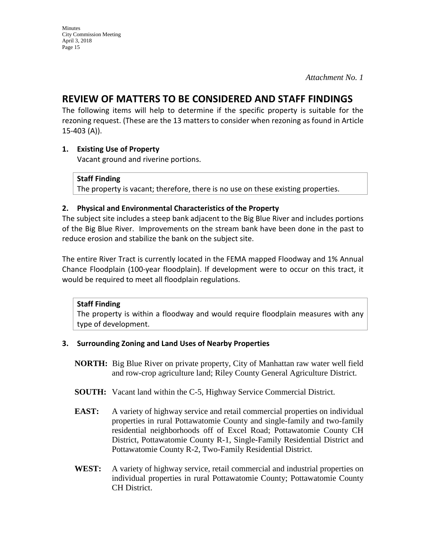# **REVIEW OF MATTERS TO BE CONSIDERED AND STAFF FINDINGS**

The following items will help to determine if the specific property is suitable for the rezoning request. (These are the 13 matters to consider when rezoning as found in Article 15-403 (A)).

#### **1. Existing Use of Property**

Vacant ground and riverine portions.

#### **Staff Finding**

The property is vacant; therefore, there is no use on these existing properties.

#### **2. Physical and Environmental Characteristics of the Property**

The subject site includes a steep bank adjacent to the Big Blue River and includes portions of the Big Blue River. Improvements on the stream bank have been done in the past to reduce erosion and stabilize the bank on the subject site.

The entire River Tract is currently located in the FEMA mapped Floodway and 1% Annual Chance Floodplain (100-year floodplain). If development were to occur on this tract, it would be required to meet all floodplain regulations.

#### **Staff Finding**

The property is within a floodway and would require floodplain measures with any type of development.

#### **3. Surrounding Zoning and Land Uses of Nearby Properties**

- **NORTH:** Big Blue River on private property, City of Manhattan raw water well field and row-crop agriculture land; Riley County General Agriculture District.
- **SOUTH:** Vacant land within the C-5, Highway Service Commercial District.
- **EAST:** A variety of highway service and retail commercial properties on individual properties in rural Pottawatomie County and single-family and two-family residential neighborhoods off of Excel Road; Pottawatomie County CH District, Pottawatomie County R-1, Single-Family Residential District and Pottawatomie County R-2, Two-Family Residential District.
- **WEST:** A variety of highway service, retail commercial and industrial properties on individual properties in rural Pottawatomie County; Pottawatomie County CH District.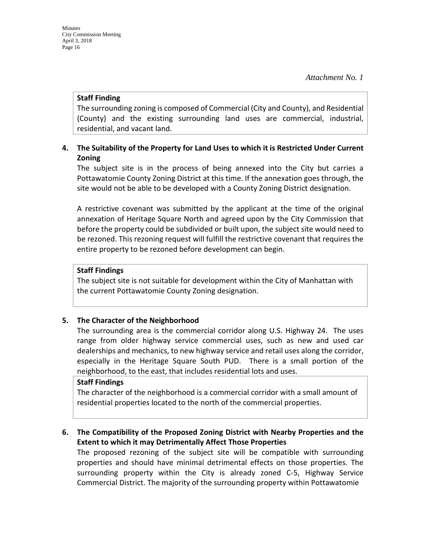#### **Staff Finding**

The surrounding zoning is composed of Commercial (City and County), and Residential (County) and the existing surrounding land uses are commercial, industrial, residential, and vacant land.

#### **4. The Suitability of the Property for Land Uses to which it is Restricted Under Current Zoning**

The subject site is in the process of being annexed into the City but carries a Pottawatomie County Zoning District at this time. If the annexation goes through, the site would not be able to be developed with a County Zoning District designation.

A restrictive covenant was submitted by the applicant at the time of the original annexation of Heritage Square North and agreed upon by the City Commission that before the property could be subdivided or built upon, the subject site would need to be rezoned. This rezoning request will fulfill the restrictive covenant that requires the entire property to be rezoned before development can begin.

#### **Staff Findings**

The subject site is not suitable for development within the City of Manhattan with the current Pottawatomie County Zoning designation.

#### **5. The Character of the Neighborhood**

The surrounding area is the commercial corridor along U.S. Highway 24. The uses range from older highway service commercial uses, such as new and used car dealerships and mechanics, to new highway service and retail uses along the corridor, especially in the Heritage Square South PUD. There is a small portion of the neighborhood, to the east, that includes residential lots and uses.

#### **Staff Findings**

The character of the neighborhood is a commercial corridor with a small amount of residential properties located to the north of the commercial properties.

#### **6. The Compatibility of the Proposed Zoning District with Nearby Properties and the Extent to which it may Detrimentally Affect Those Properties**

The proposed rezoning of the subject site will be compatible with surrounding properties and should have minimal detrimental effects on those properties. The surrounding property within the City is already zoned C-5, Highway Service Commercial District. The majority of the surrounding property within Pottawatomie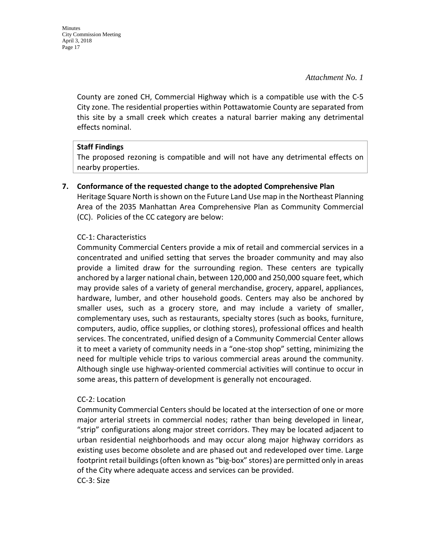County are zoned CH, Commercial Highway which is a compatible use with the C-5 City zone. The residential properties within Pottawatomie County are separated from this site by a small creek which creates a natural barrier making any detrimental effects nominal.

#### **Staff Findings**

The proposed rezoning is compatible and will not have any detrimental effects on nearby properties.

**7. Conformance of the requested change to the adopted Comprehensive Plan** Heritage Square North is shown on the Future Land Use map in the Northeast Planning Area of the 2035 Manhattan Area Comprehensive Plan as Community Commercial (CC). Policies of the CC category are below:

#### CC-1: Characteristics

Community Commercial Centers provide a mix of retail and commercial services in a concentrated and unified setting that serves the broader community and may also provide a limited draw for the surrounding region. These centers are typically anchored by a larger national chain, between 120,000 and 250,000 square feet, which may provide sales of a variety of general merchandise, grocery, apparel, appliances, hardware, lumber, and other household goods. Centers may also be anchored by smaller uses, such as a grocery store, and may include a variety of smaller, complementary uses, such as restaurants, specialty stores (such as books, furniture, computers, audio, office supplies, or clothing stores), professional offices and health services. The concentrated, unified design of a Community Commercial Center allows it to meet a variety of community needs in a "one-stop shop" setting, minimizing the need for multiple vehicle trips to various commercial areas around the community. Although single use highway-oriented commercial activities will continue to occur in some areas, this pattern of development is generally not encouraged.

#### CC-2: Location

Community Commercial Centers should be located at the intersection of one or more major arterial streets in commercial nodes; rather than being developed in linear, "strip" configurations along major street corridors. They may be located adjacent to urban residential neighborhoods and may occur along major highway corridors as existing uses become obsolete and are phased out and redeveloped over time. Large footprint retail buildings (often known as "big-box" stores) are permitted only in areas of the City where adequate access and services can be provided. CC-3: Size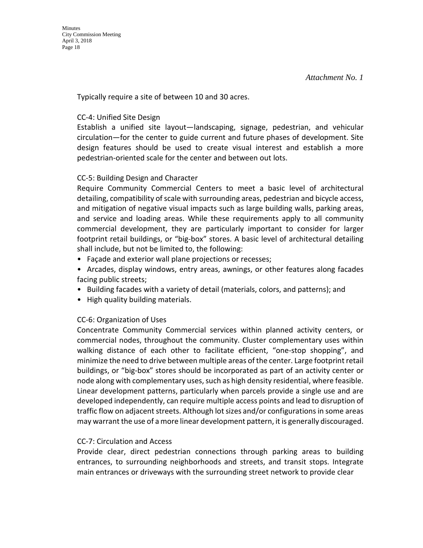Typically require a site of between 10 and 30 acres.

#### CC-4: Unified Site Design

Establish a unified site layout—landscaping, signage, pedestrian, and vehicular circulation—for the center to guide current and future phases of development. Site design features should be used to create visual interest and establish a more pedestrian-oriented scale for the center and between out lots.

#### CC-5: Building Design and Character

Require Community Commercial Centers to meet a basic level of architectural detailing, compatibility of scale with surrounding areas, pedestrian and bicycle access, and mitigation of negative visual impacts such as large building walls, parking areas, and service and loading areas. While these requirements apply to all community commercial development, they are particularly important to consider for larger footprint retail buildings, or "big-box" stores. A basic level of architectural detailing shall include, but not be limited to, the following:

- Façade and exterior wall plane projections or recesses;
- Arcades, display windows, entry areas, awnings, or other features along facades facing public streets;
- Building facades with a variety of detail (materials, colors, and patterns); and
- High quality building materials.

#### CC-6: Organization of Uses

Concentrate Community Commercial services within planned activity centers, or commercial nodes, throughout the community. Cluster complementary uses within walking distance of each other to facilitate efficient, "one-stop shopping", and minimize the need to drive between multiple areas of the center. Large footprint retail buildings, or "big-box" stores should be incorporated as part of an activity center or node along with complementary uses, such as high density residential, where feasible. Linear development patterns, particularly when parcels provide a single use and are developed independently, can require multiple access points and lead to disruption of traffic flow on adjacent streets. Although lot sizes and/or configurations in some areas may warrant the use of a more linear development pattern, it is generally discouraged.

#### CC-7: Circulation and Access

Provide clear, direct pedestrian connections through parking areas to building entrances, to surrounding neighborhoods and streets, and transit stops. Integrate main entrances or driveways with the surrounding street network to provide clear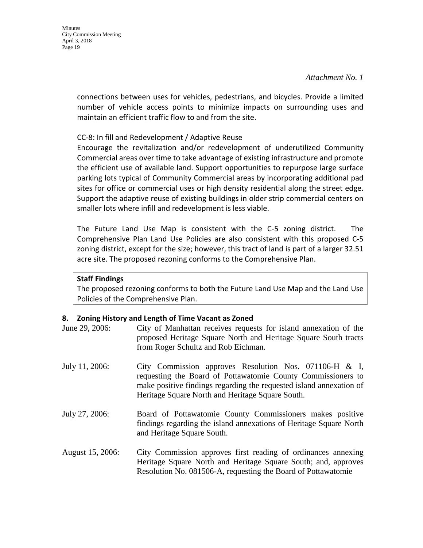connections between uses for vehicles, pedestrians, and bicycles. Provide a limited number of vehicle access points to minimize impacts on surrounding uses and maintain an efficient traffic flow to and from the site.

#### CC-8: In fill and Redevelopment / Adaptive Reuse

Encourage the revitalization and/or redevelopment of underutilized Community Commercial areas over time to take advantage of existing infrastructure and promote the efficient use of available land. Support opportunities to repurpose large surface parking lots typical of Community Commercial areas by incorporating additional pad sites for office or commercial uses or high density residential along the street edge. Support the adaptive reuse of existing buildings in older strip commercial centers on smaller lots where infill and redevelopment is less viable.

The Future Land Use Map is consistent with the C-5 zoning district. The Comprehensive Plan Land Use Policies are also consistent with this proposed C-5 zoning district, except for the size; however, this tract of land is part of a larger 32.51 acre site. The proposed rezoning conforms to the Comprehensive Plan.

#### **Staff Findings**

The proposed rezoning conforms to both the Future Land Use Map and the Land Use Policies of the Comprehensive Plan.

#### **8. Zoning History and Length of Time Vacant as Zoned**

| June 29, 2006:   | City of Manhattan receives requests for island annexation of the<br>proposed Heritage Square North and Heritage Square South tracts<br>from Roger Schultz and Rob Eichman.                                                                        |
|------------------|---------------------------------------------------------------------------------------------------------------------------------------------------------------------------------------------------------------------------------------------------|
| July 11, 2006:   | City Commission approves Resolution Nos. 071106-H & I,<br>requesting the Board of Pottawatomie County Commissioners to<br>make positive findings regarding the requested island annexation of<br>Heritage Square North and Heritage Square South. |
| July 27, 2006:   | Board of Pottawatomie County Commissioners makes positive<br>findings regarding the island annexations of Heritage Square North<br>and Heritage Square South.                                                                                     |
| August 15, 2006: | City Commission approves first reading of ordinances annexing<br>Heritage Square North and Heritage Square South; and, approves<br>Resolution No. 081506-A, requesting the Board of Pottawatomie                                                  |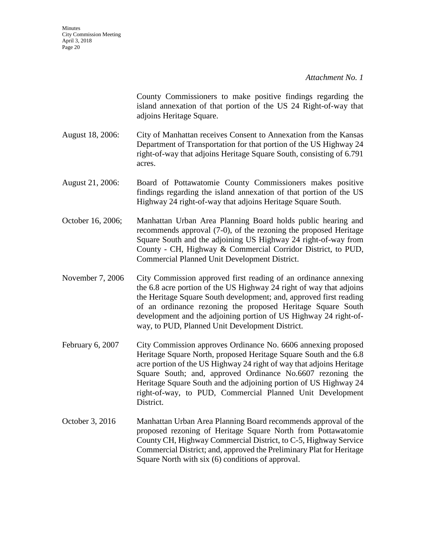County Commissioners to make positive findings regarding the island annexation of that portion of the US 24 Right-of-way that adjoins Heritage Square.

- August 18, 2006: City of Manhattan receives Consent to Annexation from the Kansas Department of Transportation for that portion of the US Highway 24 right-of-way that adjoins Heritage Square South, consisting of 6.791 acres.
- August 21, 2006: Board of Pottawatomie County Commissioners makes positive findings regarding the island annexation of that portion of the US Highway 24 right-of-way that adjoins Heritage Square South.
- October 16, 2006; Manhattan Urban Area Planning Board holds public hearing and recommends approval (7-0), of the rezoning the proposed Heritage Square South and the adjoining US Highway 24 right-of-way from County - CH, Highway & Commercial Corridor District, to PUD, Commercial Planned Unit Development District.
- November 7, 2006 City Commission approved first reading of an ordinance annexing the 6.8 acre portion of the US Highway 24 right of way that adjoins the Heritage Square South development; and, approved first reading of an ordinance rezoning the proposed Heritage Square South development and the adjoining portion of US Highway 24 right-ofway, to PUD, Planned Unit Development District.
- February 6, 2007 City Commission approves Ordinance No. 6606 annexing proposed Heritage Square North, proposed Heritage Square South and the 6.8 acre portion of the US Highway 24 right of way that adjoins Heritage Square South; and, approved Ordinance No.6607 rezoning the Heritage Square South and the adjoining portion of US Highway 24 right-of-way, to PUD, Commercial Planned Unit Development District.
- October 3, 2016 Manhattan Urban Area Planning Board recommends approval of the proposed rezoning of Heritage Square North from Pottawatomie County CH, Highway Commercial District, to C-5, Highway Service Commercial District; and, approved the Preliminary Plat for Heritage Square North with six (6) conditions of approval.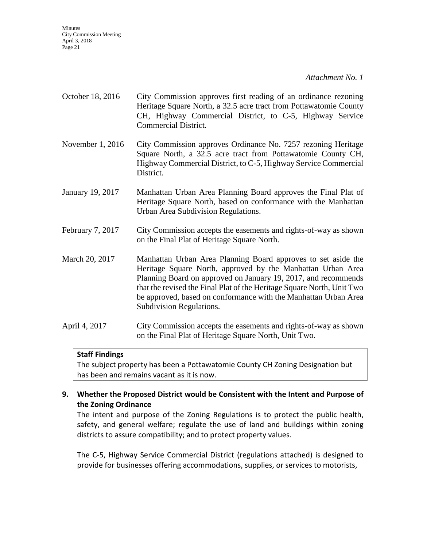**Minutes** City Commission Meeting April 3, 2018 Page 21

*Attachment No. 1* 

- October 18, 2016 City Commission approves first reading of an ordinance rezoning Heritage Square North, a 32.5 acre tract from Pottawatomie County CH, Highway Commercial District, to C-5, Highway Service Commercial District.
- November 1, 2016 City Commission approves Ordinance No. 7257 rezoning Heritage Square North, a 32.5 acre tract from Pottawatomie County CH, Highway Commercial District, to C-5, Highway Service Commercial District.
- January 19, 2017 Manhattan Urban Area Planning Board approves the Final Plat of Heritage Square North, based on conformance with the Manhattan Urban Area Subdivision Regulations.
- February 7, 2017 City Commission accepts the easements and rights-of-way as shown on the Final Plat of Heritage Square North.

March 20, 2017 Manhattan Urban Area Planning Board approves to set aside the Heritage Square North, approved by the Manhattan Urban Area Planning Board on approved on January 19, 2017, and recommends that the revised the Final Plat of the Heritage Square North, Unit Two be approved, based on conformance with the Manhattan Urban Area Subdivision Regulations.

April 4, 2017 City Commission accepts the easements and rights-of-way as shown on the Final Plat of Heritage Square North, Unit Two.

#### **Staff Findings**

The subject property has been a Pottawatomie County CH Zoning Designation but has been and remains vacant as it is now.

#### **9. Whether the Proposed District would be Consistent with the Intent and Purpose of the Zoning Ordinance**

The intent and purpose of the Zoning Regulations is to protect the public health, safety, and general welfare; regulate the use of land and buildings within zoning districts to assure compatibility; and to protect property values.

The C-5, Highway Service Commercial District (regulations attached) is designed to provide for businesses offering accommodations, supplies, or services to motorists,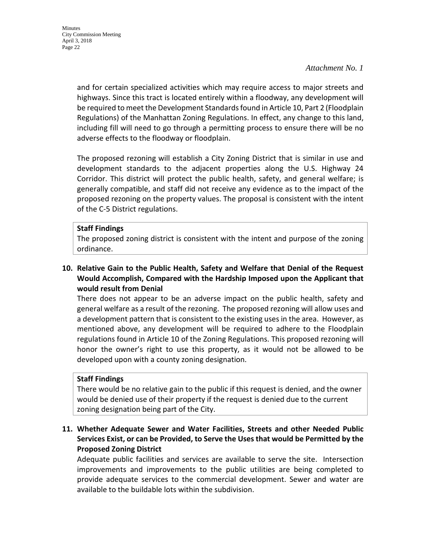and for certain specialized activities which may require access to major streets and highways. Since this tract is located entirely within a floodway, any development will be required to meet the Development Standards found in Article 10, Part 2 (Floodplain Regulations) of the Manhattan Zoning Regulations. In effect, any change to this land, including fill will need to go through a permitting process to ensure there will be no adverse effects to the floodway or floodplain.

The proposed rezoning will establish a City Zoning District that is similar in use and development standards to the adjacent properties along the U.S. Highway 24 Corridor. This district will protect the public health, safety, and general welfare; is generally compatible, and staff did not receive any evidence as to the impact of the proposed rezoning on the property values. The proposal is consistent with the intent of the C-5 District regulations.

#### **Staff Findings**

The proposed zoning district is consistent with the intent and purpose of the zoning ordinance.

#### **10. Relative Gain to the Public Health, Safety and Welfare that Denial of the Request Would Accomplish, Compared with the Hardship Imposed upon the Applicant that would result from Denial**

There does not appear to be an adverse impact on the public health, safety and general welfare as a result of the rezoning. The proposed rezoning will allow uses and a development pattern that is consistent to the existing uses in the area. However, as mentioned above, any development will be required to adhere to the Floodplain regulations found in Article 10 of the Zoning Regulations. This proposed rezoning will honor the owner's right to use this property, as it would not be allowed to be developed upon with a county zoning designation.

#### **Staff Findings**

There would be no relative gain to the public if this request is denied, and the owner would be denied use of their property if the request is denied due to the current zoning designation being part of the City.

#### **11. Whether Adequate Sewer and Water Facilities, Streets and other Needed Public Services Exist, or can be Provided, to Serve the Uses that would be Permitted by the Proposed Zoning District**

Adequate public facilities and services are available to serve the site. Intersection improvements and improvements to the public utilities are being completed to provide adequate services to the commercial development. Sewer and water are available to the buildable lots within the subdivision.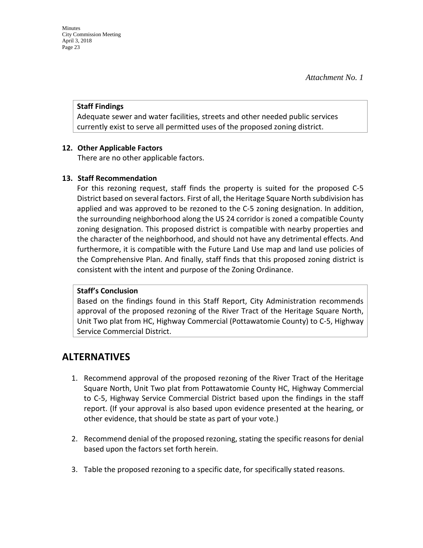#### **Staff Findings**

Adequate sewer and water facilities, streets and other needed public services currently exist to serve all permitted uses of the proposed zoning district.

#### **12. Other Applicable Factors**

There are no other applicable factors.

#### **13. Staff Recommendation**

For this rezoning request, staff finds the property is suited for the proposed C-5 District based on several factors. First of all, the Heritage Square North subdivision has applied and was approved to be rezoned to the C-5 zoning designation. In addition, the surrounding neighborhood along the US 24 corridor is zoned a compatible County zoning designation. This proposed district is compatible with nearby properties and the character of the neighborhood, and should not have any detrimental effects. And furthermore, it is compatible with the Future Land Use map and land use policies of the Comprehensive Plan. And finally, staff finds that this proposed zoning district is consistent with the intent and purpose of the Zoning Ordinance.

#### **Staff's Conclusion**

Based on the findings found in this Staff Report, City Administration recommends approval of the proposed rezoning of the River Tract of the Heritage Square North, Unit Two plat from HC, Highway Commercial (Pottawatomie County) to C-5, Highway Service Commercial District.

# **ALTERNATIVES**

- 1. Recommend approval of the proposed rezoning of the River Tract of the Heritage Square North, Unit Two plat from Pottawatomie County HC, Highway Commercial to C-5, Highway Service Commercial District based upon the findings in the staff report. (If your approval is also based upon evidence presented at the hearing, or other evidence, that should be state as part of your vote.)
- 2. Recommend denial of the proposed rezoning, stating the specific reasons for denial based upon the factors set forth herein.
- 3. Table the proposed rezoning to a specific date, for specifically stated reasons.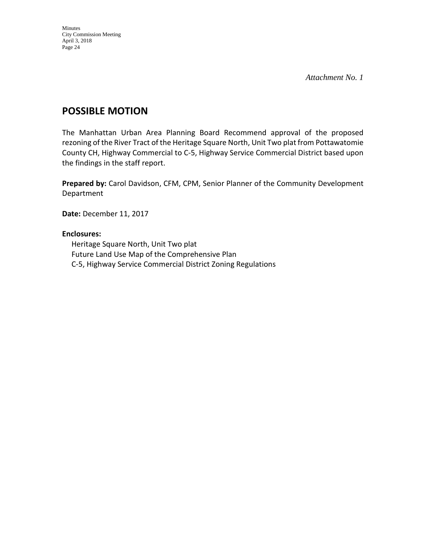# **POSSIBLE MOTION**

The Manhattan Urban Area Planning Board Recommend approval of the proposed rezoning of the River Tract of the Heritage Square North, Unit Two plat from Pottawatomie County CH, Highway Commercial to C-5, Highway Service Commercial District based upon the findings in the staff report.

**Prepared by:** Carol Davidson, CFM, CPM, Senior Planner of the Community Development Department

**Date:** December 11, 2017

#### **Enclosures:**

Heritage Square North, Unit Two plat Future Land Use Map of the Comprehensive Plan C-5, Highway Service Commercial District Zoning Regulations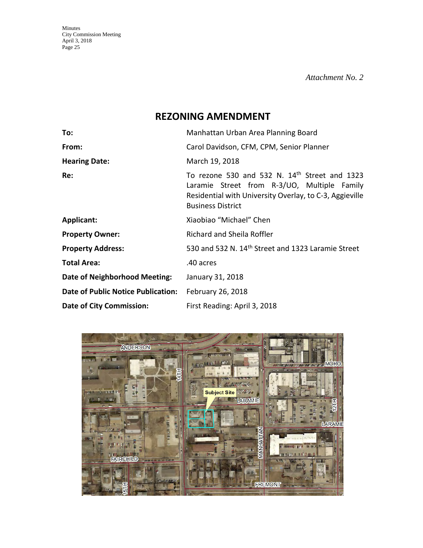Minutes City Commission Meeting April 3, 2018 Page 25

*Attachment No. 2* 

# **REZONING AMENDMENT**

| To:                                       | Manhattan Urban Area Planning Board                                                                                                                                                 |  |  |  |
|-------------------------------------------|-------------------------------------------------------------------------------------------------------------------------------------------------------------------------------------|--|--|--|
| From:                                     | Carol Davidson, CFM, CPM, Senior Planner                                                                                                                                            |  |  |  |
| <b>Hearing Date:</b>                      | March 19, 2018                                                                                                                                                                      |  |  |  |
| Re:                                       | To rezone 530 and 532 N. 14th Street and 1323<br>Laramie Street from R-3/UO, Multiple Family<br>Residential with University Overlay, to C-3, Aggieville<br><b>Business District</b> |  |  |  |
| <b>Applicant:</b>                         | Xiaobiao "Michael" Chen                                                                                                                                                             |  |  |  |
| <b>Property Owner:</b>                    | Richard and Sheila Roffler                                                                                                                                                          |  |  |  |
| <b>Property Address:</b>                  | 530 and 532 N. 14 <sup>th</sup> Street and 1323 Laramie Street                                                                                                                      |  |  |  |
| <b>Total Area:</b>                        | .40 acres                                                                                                                                                                           |  |  |  |
| Date of Neighborhood Meeting:             | January 31, 2018                                                                                                                                                                    |  |  |  |
| <b>Date of Public Notice Publication:</b> | February 26, 2018                                                                                                                                                                   |  |  |  |
| <b>Date of City Commission:</b>           | First Reading: April 3, 2018                                                                                                                                                        |  |  |  |

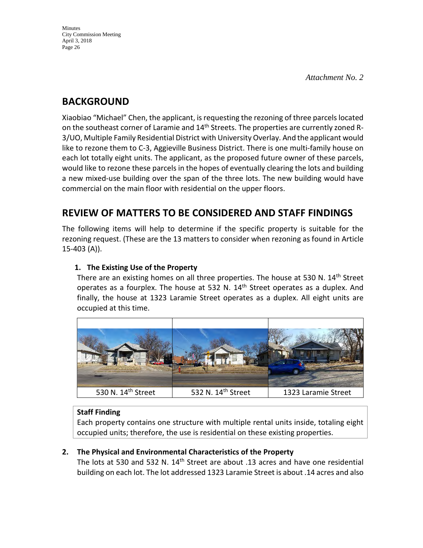# **BACKGROUND**

Xiaobiao "Michael" Chen, the applicant, is requesting the rezoning of three parcels located on the southeast corner of Laramie and 14<sup>th</sup> Streets. The properties are currently zoned R-3/UO, Multiple Family Residential District with University Overlay. And the applicant would like to rezone them to C-3, Aggieville Business District. There is one multi-family house on each lot totally eight units. The applicant, as the proposed future owner of these parcels, would like to rezone these parcels in the hopes of eventually clearing the lots and building a new mixed-use building over the span of the three lots. The new building would have commercial on the main floor with residential on the upper floors.

# **REVIEW OF MATTERS TO BE CONSIDERED AND STAFF FINDINGS**

The following items will help to determine if the specific property is suitable for the rezoning request. (These are the 13 matters to consider when rezoning as found in Article 15-403 (A)).

### **1. The Existing Use of the Property**

There are an existing homes on all three properties. The house at 530 N. 14<sup>th</sup> Street operates as a fourplex. The house at 532 N. 14<sup>th</sup> Street operates as a duplex. And finally, the house at 1323 Laramie Street operates as a duplex. All eight units are occupied at this time.



### **Staff Finding**

Each property contains one structure with multiple rental units inside, totaling eight occupied units; therefore, the use is residential on these existing properties.

### **2. The Physical and Environmental Characteristics of the Property**

The lots at 530 and 532 N. 14<sup>th</sup> Street are about .13 acres and have one residential building on each lot. The lot addressed 1323 Laramie Street is about .14 acres and also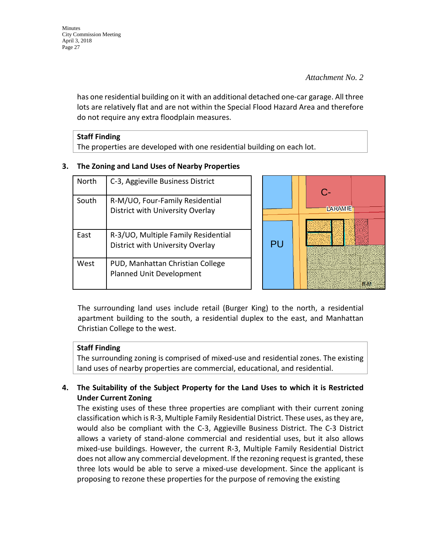has one residential building on it with an additional detached one-car garage. All three lots are relatively flat and are not within the Special Flood Hazard Area and therefore do not require any extra floodplain measures.

| <b>Staff Finding</b>                                                    |
|-------------------------------------------------------------------------|
| The properties are developed with one residential building on each lot. |

#### **3. The Zoning and Land Uses of Nearby Properties**

| North | C-3, Aggieville Business District                                       |    | $\Gamma$       |
|-------|-------------------------------------------------------------------------|----|----------------|
| South | R-M/UO, Four-Family Residential<br>District with University Overlay     |    | <b>LARAMIE</b> |
| East  | R-3/UO, Multiple Family Residential<br>District with University Overlay | PU |                |
| West  | PUD, Manhattan Christian College<br>Planned Unit Development            |    | R N            |

The surrounding land uses include retail (Burger King) to the north, a residential apartment building to the south, a residential duplex to the east, and Manhattan Christian College to the west.

### **Staff Finding**

The surrounding zoning is comprised of mixed-use and residential zones. The existing land uses of nearby properties are commercial, educational, and residential.

### **4. The Suitability of the Subject Property for the Land Uses to which it is Restricted Under Current Zoning**

The existing uses of these three properties are compliant with their current zoning classification which is R-3, Multiple Family Residential District. These uses, as they are, would also be compliant with the C-3, Aggieville Business District. The C-3 District allows a variety of stand-alone commercial and residential uses, but it also allows mixed-use buildings. However, the current R-3, Multiple Family Residential District does not allow any commercial development. If the rezoning request is granted, these three lots would be able to serve a mixed-use development. Since the applicant is proposing to rezone these properties for the purpose of removing the existing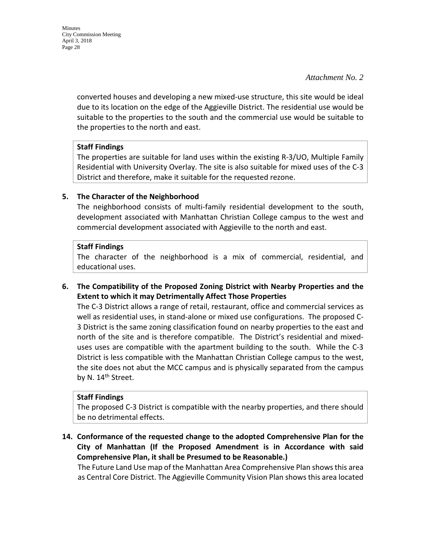Minutes City Commission Meeting April 3, 2018 Page 28

*Attachment No. 2* 

converted houses and developing a new mixed-use structure, this site would be ideal due to its location on the edge of the Aggieville District. The residential use would be suitable to the properties to the south and the commercial use would be suitable to the properties to the north and east.

#### **Staff Findings**

The properties are suitable for land uses within the existing R-3/UO, Multiple Family Residential with University Overlay. The site is also suitable for mixed uses of the C-3 District and therefore, make it suitable for the requested rezone.

#### **5. The Character of the Neighborhood**

The neighborhood consists of multi-family residential development to the south, development associated with Manhattan Christian College campus to the west and commercial development associated with Aggieville to the north and east.

#### **Staff Findings**

The character of the neighborhood is a mix of commercial, residential, and educational uses.

**6. The Compatibility of the Proposed Zoning District with Nearby Properties and the Extent to which it may Detrimentally Affect Those Properties**

The C-3 District allows a range of retail, restaurant, office and commercial services as well as residential uses, in stand-alone or mixed use configurations. The proposed C-3 District is the same zoning classification found on nearby properties to the east and north of the site and is therefore compatible. The District's residential and mixeduses uses are compatible with the apartment building to the south. While the C-3 District is less compatible with the Manhattan Christian College campus to the west, the site does not abut the MCC campus and is physically separated from the campus by N. 14<sup>th</sup> Street.

#### **Staff Findings**

The proposed C-3 District is compatible with the nearby properties, and there should be no detrimental effects.

**14. Conformance of the requested change to the adopted Comprehensive Plan for the City of Manhattan (If the Proposed Amendment is in Accordance with said Comprehensive Plan, it shall be Presumed to be Reasonable.)**

The Future Land Use map of the Manhattan Area Comprehensive Plan shows this area as Central Core District. The Aggieville Community Vision Plan shows this area located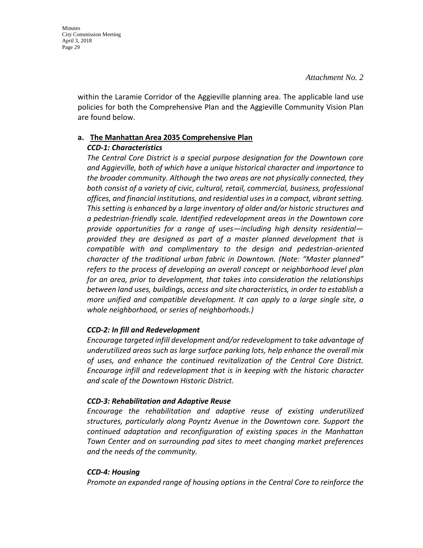within the Laramie Corridor of the Aggieville planning area. The applicable land use policies for both the Comprehensive Plan and the Aggieville Community Vision Plan are found below.

# **a. The Manhattan Area 2035 Comprehensive Plan**

#### *CCD-1: Characteristics*

*The Central Core District is a special purpose designation for the Downtown core and Aggieville, both of which have a unique historical character and importance to the broader community. Although the two areas are not physically connected, they both consist of a variety of civic, cultural, retail, commercial, business, professional offices, and financial institutions, and residential uses in a compact, vibrant setting. This setting is enhanced by a large inventory of older and/or historic structures and a pedestrian-friendly scale. Identified redevelopment areas in the Downtown core provide opportunities for a range of uses—including high density residential provided they are designed as part of a master planned development that is compatible with and complimentary to the design and pedestrian-oriented character of the traditional urban fabric in Downtown. (Note: "Master planned" refers to the process of developing an overall concept or neighborhood level plan for an area, prior to development, that takes into consideration the relationships between land uses, buildings, access and site characteristics, in order to establish a more unified and compatible development. It can apply to a large single site, a whole neighborhood, or series of neighborhoods.)* 

### *CCD-2: In fill and Redevelopment*

*Encourage targeted infill development and/or redevelopment to take advantage of underutilized areas such as large surface parking lots, help enhance the overall mix of uses, and enhance the continued revitalization of the Central Core District. Encourage infill and redevelopment that is in keeping with the historic character and scale of the Downtown Historic District.* 

### *CCD-3: Rehabilitation and Adaptive Reuse*

*Encourage the rehabilitation and adaptive reuse of existing underutilized structures, particularly along Poyntz Avenue in the Downtown core. Support the continued adaptation and reconfiguration of existing spaces in the Manhattan Town Center and on surrounding pad sites to meet changing market preferences and the needs of the community.* 

#### *CCD-4: Housing*

*Promote an expanded range of housing options in the Central Core to reinforce the*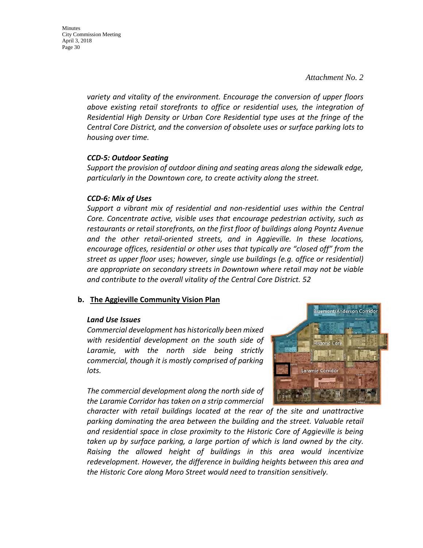Minutes City Commission Meeting April 3, 2018 Page 30

> *variety and vitality of the environment. Encourage the conversion of upper floors above existing retail storefronts to office or residential uses, the integration of Residential High Density or Urban Core Residential type uses at the fringe of the Central Core District, and the conversion of obsolete uses or surface parking lots to housing over time.*

#### *CCD-5: Outdoor Seating*

*Support the provision of outdoor dining and seating areas along the sidewalk edge, particularly in the Downtown core, to create activity along the street.* 

#### *CCD-6: Mix of Uses*

*Support a vibrant mix of residential and non-residential uses within the Central Core. Concentrate active, visible uses that encourage pedestrian activity, such as restaurants or retail storefronts, on the first floor of buildings along Poyntz Avenue and the other retail-oriented streets, and in Aggieville. In these locations, encourage offices, residential or other uses that typically are "closed off" from the street as upper floor uses; however, single use buildings (e.g. office or residential) are appropriate on secondary streets in Downtown where retail may not be viable and contribute to the overall vitality of the Central Core District. 52*

#### **b. The Aggieville Community Vision Plan**

#### *Land Use Issues*

*Commercial development has historically been mixed with residential development on the south side of Laramie, with the north side being strictly commercial, though it is mostly comprised of parking lots.*

*The commercial development along the north side of the Laramie Corridor has taken on a strip commercial* 



*character with retail buildings located at the rear of the site and unattractive parking dominating the area between the building and the street. Valuable retail and residential space in close proximity to the Historic Core of Aggieville is being taken up by surface parking, a large portion of which is land owned by the city. Raising the allowed height of buildings in this area would incentivize redevelopment. However, the difference in building heights between this area and the Historic Core along Moro Street would need to transition sensitively.*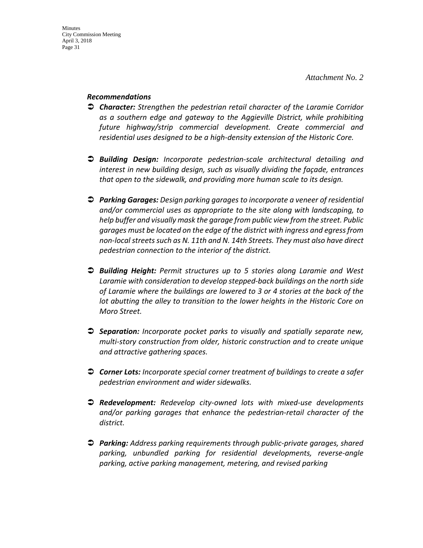#### *Recommendations*

- *Character: Strengthen the pedestrian retail character of the Laramie Corridor as a southern edge and gateway to the Aggieville District, while prohibiting future highway/strip commercial development. Create commercial and residential uses designed to be a high-density extension of the Historic Core.*
- *Building Design: Incorporate pedestrian-scale architectural detailing and interest in new building design, such as visually dividing the façade, entrances that open to the sidewalk, and providing more human scale to its design.*
- *Parking Garages: Design parking garages to incorporate a veneer of residential and/or commercial uses as appropriate to the site along with landscaping, to help buffer and visually mask the garage from public view from the street. Public garages must be located on the edge of the district with ingress and egress from non-local streets such as N. 11th and N. 14th Streets. They must also have direct pedestrian connection to the interior of the district.*
- *Building Height: Permit structures up to 5 stories along Laramie and West Laramie with consideration to develop stepped-back buildings on the north side of Laramie where the buildings are lowered to 3 or 4 stories at the back of the lot abutting the alley to transition to the lower heights in the Historic Core on Moro Street.*
- *Separation: Incorporate pocket parks to visually and spatially separate new, multi-story construction from older, historic construction and to create unique and attractive gathering spaces.*
- *Corner Lots: Incorporate special corner treatment of buildings to create a safer pedestrian environment and wider sidewalks.*
- *Redevelopment: Redevelop city-owned lots with mixed-use developments and/or parking garages that enhance the pedestrian-retail character of the district.*
- *Parking: Address parking requirements through public-private garages, shared parking, unbundled parking for residential developments, reverse-angle parking, active parking management, metering, and revised parking*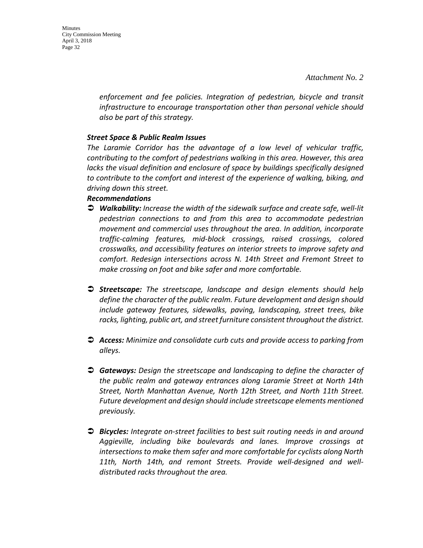Minutes City Commission Meeting April 3, 2018 Page 32

> *enforcement and fee policies. Integration of pedestrian, bicycle and transit infrastructure to encourage transportation other than personal vehicle should also be part of this strategy.*

#### *Street Space & Public Realm Issues*

*The Laramie Corridor has the advantage of a low level of vehicular traffic, contributing to the comfort of pedestrians walking in this area. However, this area lacks the visual definition and enclosure of space by buildings specifically designed to contribute to the comfort and interest of the experience of walking, biking, and driving down this street.*

#### *Recommendations*

- *Walkability: Increase the width of the sidewalk surface and create safe, well-lit pedestrian connections to and from this area to accommodate pedestrian movement and commercial uses throughout the area. In addition, incorporate traffic-calming features, mid-block crossings, raised crossings, colored crosswalks, and accessibility features on interior streets to improve safety and comfort. Redesign intersections across N. 14th Street and Fremont Street to make crossing on foot and bike safer and more comfortable.*
- *Streetscape: The streetscape, landscape and design elements should help define the character of the public realm. Future development and design should include gateway features, sidewalks, paving, landscaping, street trees, bike racks, lighting, public art, and street furniture consistent throughout the district.*
- *Access: Minimize and consolidate curb cuts and provide access to parking from alleys.*
- *Gateways: Design the streetscape and landscaping to define the character of the public realm and gateway entrances along Laramie Street at North 14th Street, North Manhattan Avenue, North 12th Street, and North 11th Street. Future development and design should include streetscape elements mentioned previously.*
- *Bicycles: Integrate on-street facilities to best suit routing needs in and around Aggieville, including bike boulevards and lanes. Improve crossings at intersections to make them safer and more comfortable for cyclists along North 11th, North 14th, and remont Streets. Provide well-designed and welldistributed racks throughout the area.*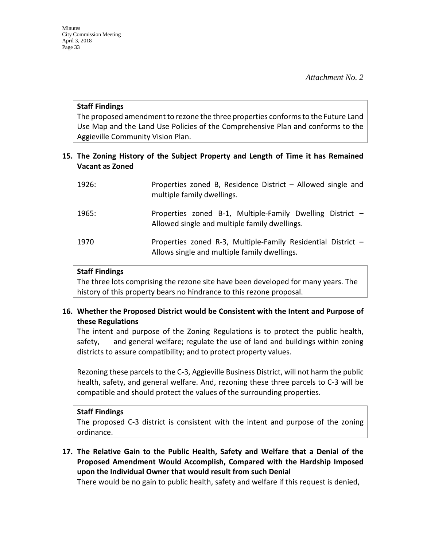#### **Staff Findings**

The proposed amendment to rezone the three properties conforms to the Future Land Use Map and the Land Use Policies of the Comprehensive Plan and conforms to the Aggieville Community Vision Plan.

#### **15. The Zoning History of the Subject Property and Length of Time it has Remained Vacant as Zoned**

| 1926: | Properties zoned B, Residence District - Allowed single and<br>multiple family dwellings.                    |
|-------|--------------------------------------------------------------------------------------------------------------|
| 1965: | Properties zoned B-1, Multiple-Family Dwelling District -<br>Allowed single and multiple family dwellings.   |
| 1970  | Properties zoned R-3, Multiple-Family Residential District -<br>Allows single and multiple family dwellings. |

#### **Staff Findings**

The three lots comprising the rezone site have been developed for many years. The history of this property bears no hindrance to this rezone proposal.

#### **16. Whether the Proposed District would be Consistent with the Intent and Purpose of these Regulations**

The intent and purpose of the Zoning Regulations is to protect the public health, safety, and general welfare; regulate the use of land and buildings within zoning districts to assure compatibility; and to protect property values.

Rezoning these parcels to the C-3, Aggieville Business District, will not harm the public health, safety, and general welfare. And, rezoning these three parcels to C-3 will be compatible and should protect the values of the surrounding properties.

#### **Staff Findings**

The proposed C-3 district is consistent with the intent and purpose of the zoning ordinance.

**17. The Relative Gain to the Public Health, Safety and Welfare that a Denial of the Proposed Amendment Would Accomplish, Compared with the Hardship Imposed upon the Individual Owner that would result from such Denial**

There would be no gain to public health, safety and welfare if this request is denied,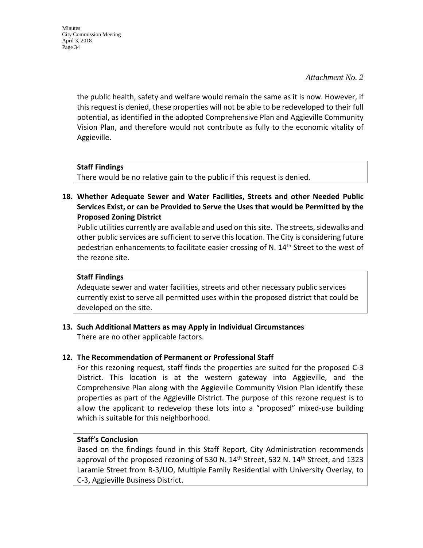Minutes City Commission Meeting April 3, 2018 Page 34

#### *Attachment No. 2*

the public health, safety and welfare would remain the same as it is now. However, if this request is denied, these properties will not be able to be redeveloped to their full potential, as identified in the adopted Comprehensive Plan and Aggieville Community Vision Plan, and therefore would not contribute as fully to the economic vitality of Aggieville.

#### **Staff Findings**

There would be no relative gain to the public if this request is denied.

**18. Whether Adequate Sewer and Water Facilities, Streets and other Needed Public Services Exist, or can be Provided to Serve the Uses that would be Permitted by the Proposed Zoning District**

Public utilities currently are available and used on this site. The streets, sidewalks and other public services are sufficient to serve this location. The City is considering future pedestrian enhancements to facilitate easier crossing of N. 14<sup>th</sup> Street to the west of the rezone site.

#### **Staff Findings**

Adequate sewer and water facilities, streets and other necessary public services currently exist to serve all permitted uses within the proposed district that could be developed on the site.

**13. Such Additional Matters as may Apply in Individual Circumstances** There are no other applicable factors.

#### **12. The Recommendation of Permanent or Professional Staff**

For this rezoning request, staff finds the properties are suited for the proposed C-3 District. This location is at the western gateway into Aggieville, and the Comprehensive Plan along with the Aggieville Community Vision Plan identify these properties as part of the Aggieville District. The purpose of this rezone request is to allow the applicant to redevelop these lots into a "proposed" mixed-use building which is suitable for this neighborhood.

#### **Staff's Conclusion**

Based on the findings found in this Staff Report, City Administration recommends approval of the proposed rezoning of 530 N.  $14<sup>th</sup>$  Street, 532 N.  $14<sup>th</sup>$  Street, and 1323 Laramie Street from R-3/UO, Multiple Family Residential with University Overlay, to C-3, Aggieville Business District.